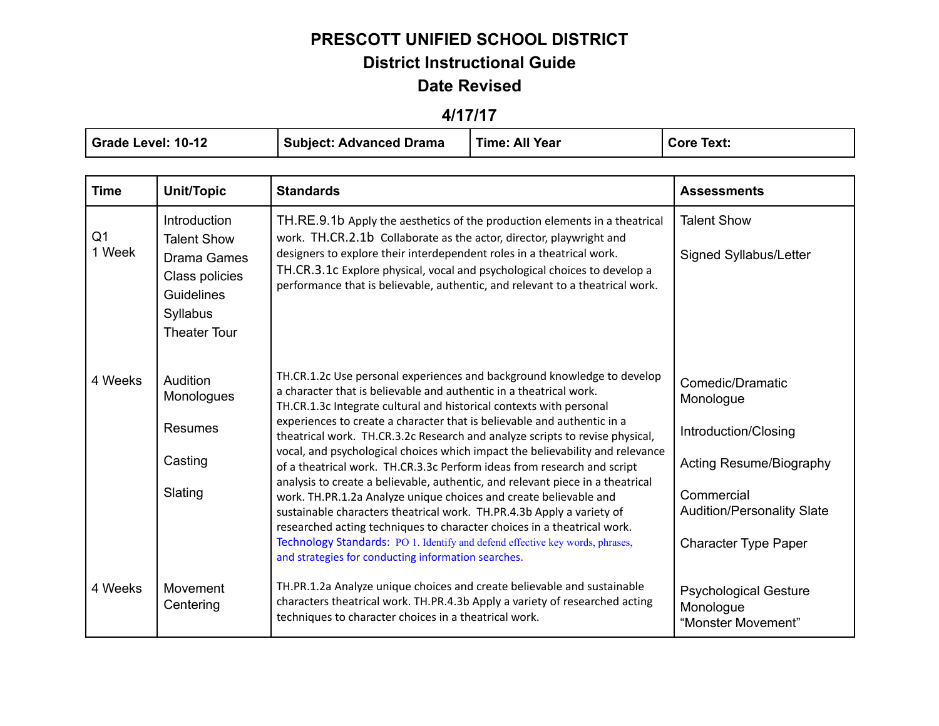#### **PRESCOTT UNIFIED SCHOOL DISTRICT**

#### **District Instructional Guide**

#### **Date Revised**

#### **4/17/17**

| Grade Level: 10-12       |                                                                                                                      | <b>Subject: Advanced Drama</b>                                                                                                                                                                                                                                                                                                                                                                                                                                                                                                                                                                                                                                                                                                                                                                                                     | <b>Time: All Year</b>                                                                                                                                    | <b>Core Text:</b>                                                                                                                                                         |  |
|--------------------------|----------------------------------------------------------------------------------------------------------------------|------------------------------------------------------------------------------------------------------------------------------------------------------------------------------------------------------------------------------------------------------------------------------------------------------------------------------------------------------------------------------------------------------------------------------------------------------------------------------------------------------------------------------------------------------------------------------------------------------------------------------------------------------------------------------------------------------------------------------------------------------------------------------------------------------------------------------------|----------------------------------------------------------------------------------------------------------------------------------------------------------|---------------------------------------------------------------------------------------------------------------------------------------------------------------------------|--|
|                          |                                                                                                                      |                                                                                                                                                                                                                                                                                                                                                                                                                                                                                                                                                                                                                                                                                                                                                                                                                                    |                                                                                                                                                          |                                                                                                                                                                           |  |
| <b>Time</b>              | Unit/Topic                                                                                                           | <b>Standards</b>                                                                                                                                                                                                                                                                                                                                                                                                                                                                                                                                                                                                                                                                                                                                                                                                                   |                                                                                                                                                          | <b>Assessments</b>                                                                                                                                                        |  |
| Q <sub>1</sub><br>1 Week | Introduction<br><b>Talent Show</b><br>Drama Games<br>Class policies<br>Guidelines<br>Syllabus<br><b>Theater Tour</b> | work. TH.CR.2.1b Collaborate as the actor, director, playwright and<br>designers to explore their interdependent roles in a theatrical work.<br>TH.CR.3.1c Explore physical, vocal and psychological choices to develop a<br>performance that is believable, authentic, and relevant to a theatrical work.                                                                                                                                                                                                                                                                                                                                                                                                                                                                                                                         | TH.RE.9.1b Apply the aesthetics of the production elements in a theatrical                                                                               | <b>Talent Show</b><br>Signed Syllabus/Letter                                                                                                                              |  |
| 4 Weeks                  | Audition<br>Monologues<br><b>Resumes</b><br>Casting<br>Slating                                                       | a character that is believable and authentic in a theatrical work.<br>TH.CR.1.3c Integrate cultural and historical contexts with personal<br>experiences to create a character that is believable and authentic in a<br>theatrical work. TH.CR.3.2c Research and analyze scripts to revise physical,<br>of a theatrical work. TH.CR.3.3c Perform ideas from research and script<br>analysis to create a believable, authentic, and relevant piece in a theatrical<br>work. TH.PR.1.2a Analyze unique choices and create believable and<br>sustainable characters theatrical work. TH.PR.4.3b Apply a variety of<br>researched acting techniques to character choices in a theatrical work.<br>Technology Standards: PO 1. Identify and defend effective key words, phrases,<br>and strategies for conducting information searches. | TH.CR.1.2c Use personal experiences and background knowledge to develop<br>vocal, and psychological choices which impact the believability and relevance | Comedic/Dramatic<br>Monologue<br>Introduction/Closing<br><b>Acting Resume/Biography</b><br>Commercial<br><b>Audition/Personality Slate</b><br><b>Character Type Paper</b> |  |
| 4 Weeks                  | Movement<br>Centering                                                                                                | TH.PR.1.2a Analyze unique choices and create believable and sustainable<br>characters theatrical work. TH.PR.4.3b Apply a variety of researched acting<br>techniques to character choices in a theatrical work.                                                                                                                                                                                                                                                                                                                                                                                                                                                                                                                                                                                                                    |                                                                                                                                                          | <b>Psychological Gesture</b><br>Monologue<br>"Monster Movement"                                                                                                           |  |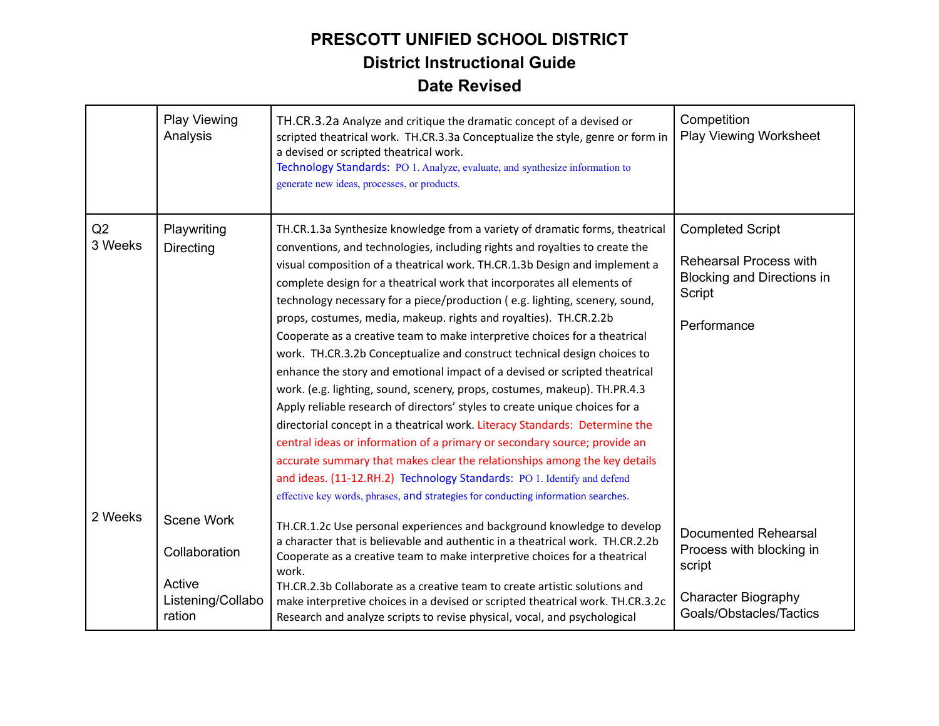|         | <b>Play Viewing</b><br>Analysis       | TH.CR.3.2a Analyze and critique the dramatic concept of a devised or<br>scripted theatrical work. TH.CR.3.3a Conceptualize the style, genre or form in<br>a devised or scripted theatrical work.<br>Technology Standards: PO 1. Analyze, evaluate, and synthesize information to<br>generate new ideas, processes, or products.                                                                                                                                                                                                                                                                                                                                                                                                                                                           | Competition<br><b>Play Viewing Worksheet</b>                                 |
|---------|---------------------------------------|-------------------------------------------------------------------------------------------------------------------------------------------------------------------------------------------------------------------------------------------------------------------------------------------------------------------------------------------------------------------------------------------------------------------------------------------------------------------------------------------------------------------------------------------------------------------------------------------------------------------------------------------------------------------------------------------------------------------------------------------------------------------------------------------|------------------------------------------------------------------------------|
| Q2      | Playwriting                           | TH.CR.1.3a Synthesize knowledge from a variety of dramatic forms, theatrical                                                                                                                                                                                                                                                                                                                                                                                                                                                                                                                                                                                                                                                                                                              | <b>Completed Script</b>                                                      |
| 3 Weeks | Directing                             | conventions, and technologies, including rights and royalties to create the<br>visual composition of a theatrical work. TH.CR.1.3b Design and implement a<br>complete design for a theatrical work that incorporates all elements of<br>technology necessary for a piece/production (e.g. lighting, scenery, sound,                                                                                                                                                                                                                                                                                                                                                                                                                                                                       | <b>Rehearsal Process with</b><br><b>Blocking and Directions in</b><br>Script |
|         |                                       | props, costumes, media, makeup. rights and royalties). TH.CR.2.2b<br>Cooperate as a creative team to make interpretive choices for a theatrical<br>work. TH.CR.3.2b Conceptualize and construct technical design choices to<br>enhance the story and emotional impact of a devised or scripted theatrical<br>work. (e.g. lighting, sound, scenery, props, costumes, makeup). TH.PR.4.3<br>Apply reliable research of directors' styles to create unique choices for a<br>directorial concept in a theatrical work. Literacy Standards: Determine the<br>central ideas or information of a primary or secondary source; provide an<br>accurate summary that makes clear the relationships among the key details<br>and ideas. (11-12.RH.2) Technology Standards: PO 1. Identify and defend | Performance                                                                  |
| 2 Weeks | Scene Work                            | effective key words, phrases, and strategies for conducting information searches.                                                                                                                                                                                                                                                                                                                                                                                                                                                                                                                                                                                                                                                                                                         |                                                                              |
|         |                                       | TH.CR.1.2c Use personal experiences and background knowledge to develop<br>a character that is believable and authentic in a theatrical work. TH.CR.2.2b                                                                                                                                                                                                                                                                                                                                                                                                                                                                                                                                                                                                                                  | Documented Rehearsal                                                         |
|         | Collaboration                         | Cooperate as a creative team to make interpretive choices for a theatrical<br>work.                                                                                                                                                                                                                                                                                                                                                                                                                                                                                                                                                                                                                                                                                                       | Process with blocking in<br>script                                           |
|         | Active<br>Listening/Collabo<br>ration | TH.CR.2.3b Collaborate as a creative team to create artistic solutions and<br>make interpretive choices in a devised or scripted theatrical work. TH.CR.3.2c<br>Research and analyze scripts to revise physical, vocal, and psychological                                                                                                                                                                                                                                                                                                                                                                                                                                                                                                                                                 | <b>Character Biography</b><br>Goals/Obstacles/Tactics                        |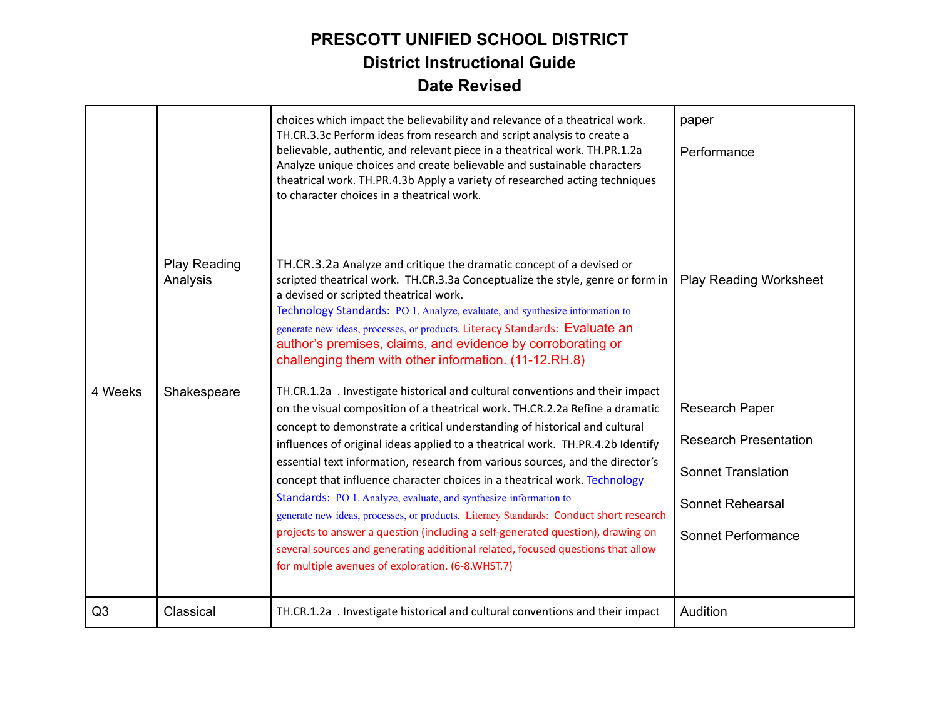|                |                                 | choices which impact the believability and relevance of a theatrical work.<br>TH.CR.3.3c Perform ideas from research and script analysis to create a<br>believable, authentic, and relevant piece in a theatrical work. TH.PR.1.2a<br>Analyze unique choices and create believable and sustainable characters<br>theatrical work. TH.PR.4.3b Apply a variety of researched acting techniques<br>to character choices in a theatrical work.                                                                                                                                                                                                                                                                                                                                                                                                                                            | paper<br>Performance                                                                                                         |
|----------------|---------------------------------|---------------------------------------------------------------------------------------------------------------------------------------------------------------------------------------------------------------------------------------------------------------------------------------------------------------------------------------------------------------------------------------------------------------------------------------------------------------------------------------------------------------------------------------------------------------------------------------------------------------------------------------------------------------------------------------------------------------------------------------------------------------------------------------------------------------------------------------------------------------------------------------|------------------------------------------------------------------------------------------------------------------------------|
|                | <b>Play Reading</b><br>Analysis | TH.CR.3.2a Analyze and critique the dramatic concept of a devised or<br>scripted theatrical work. TH.CR.3.3a Conceptualize the style, genre or form in<br>a devised or scripted theatrical work.<br>Technology Standards: PO 1. Analyze, evaluate, and synthesize information to<br>generate new ideas, processes, or products. Literacy Standards: Evaluate an<br>author's premises, claims, and evidence by corroborating or<br>challenging them with other information. (11-12.RH.8)                                                                                                                                                                                                                                                                                                                                                                                               | <b>Play Reading Worksheet</b>                                                                                                |
| 4 Weeks        | Shakespeare                     | TH.CR.1.2a . Investigate historical and cultural conventions and their impact<br>on the visual composition of a theatrical work. TH.CR.2.2a Refine a dramatic<br>concept to demonstrate a critical understanding of historical and cultural<br>influences of original ideas applied to a theatrical work. TH.PR.4.2b Identify<br>essential text information, research from various sources, and the director's<br>concept that influence character choices in a theatrical work. Technology<br>Standards: PO 1. Analyze, evaluate, and synthesize information to<br>generate new ideas, processes, or products. Literacy Standards: Conduct short research<br>projects to answer a question (including a self-generated question), drawing on<br>several sources and generating additional related, focused questions that allow<br>for multiple avenues of exploration. (6-8.WHST.7) | <b>Research Paper</b><br><b>Research Presentation</b><br><b>Sonnet Translation</b><br>Sonnet Rehearsal<br>Sonnet Performance |
| Q <sub>3</sub> | Classical                       | TH.CR.1.2a . Investigate historical and cultural conventions and their impact                                                                                                                                                                                                                                                                                                                                                                                                                                                                                                                                                                                                                                                                                                                                                                                                         | Audition                                                                                                                     |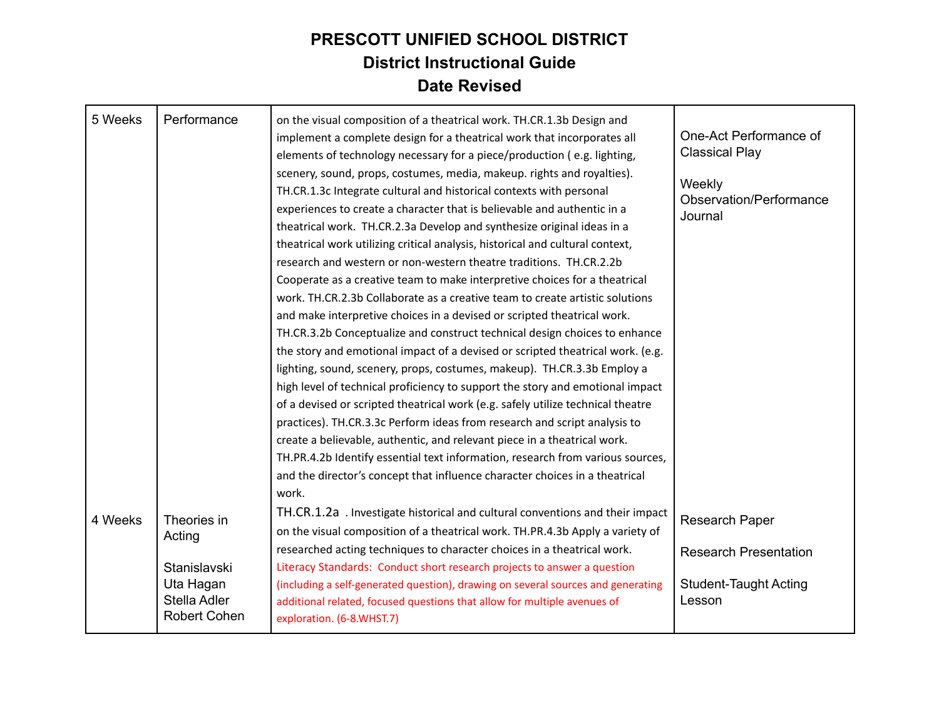| 5 Weeks | Performance         | on the visual composition of a theatrical work. TH.CR.1.3b Design and<br>implement a complete design for a theatrical work that incorporates all | One-Act Performance of             |
|---------|---------------------|--------------------------------------------------------------------------------------------------------------------------------------------------|------------------------------------|
|         |                     | elements of technology necessary for a piece/production (e.g. lighting,                                                                          | <b>Classical Play</b>              |
|         |                     | scenery, sound, props, costumes, media, makeup. rights and royalties).<br>TH.CR.1.3c Integrate cultural and historical contexts with personal    | Weekly                             |
|         |                     | experiences to create a character that is believable and authentic in a                                                                          | Observation/Performance<br>Journal |
|         |                     | theatrical work. TH.CR.2.3a Develop and synthesize original ideas in a                                                                           |                                    |
|         |                     | theatrical work utilizing critical analysis, historical and cultural context,                                                                    |                                    |
|         |                     | research and western or non-western theatre traditions. TH.CR.2.2b                                                                               |                                    |
|         |                     | Cooperate as a creative team to make interpretive choices for a theatrical                                                                       |                                    |
|         |                     | work. TH.CR.2.3b Collaborate as a creative team to create artistic solutions                                                                     |                                    |
|         |                     | and make interpretive choices in a devised or scripted theatrical work.                                                                          |                                    |
|         |                     | TH.CR.3.2b Conceptualize and construct technical design choices to enhance                                                                       |                                    |
|         |                     | the story and emotional impact of a devised or scripted theatrical work. (e.g.                                                                   |                                    |
|         |                     | lighting, sound, scenery, props, costumes, makeup). TH.CR.3.3b Employ a                                                                          |                                    |
|         |                     | high level of technical proficiency to support the story and emotional impact                                                                    |                                    |
|         |                     | of a devised or scripted theatrical work (e.g. safely utilize technical theatre                                                                  |                                    |
|         |                     | practices). TH.CR.3.3c Perform ideas from research and script analysis to                                                                        |                                    |
|         |                     | create a believable, authentic, and relevant piece in a theatrical work.                                                                         |                                    |
|         |                     | TH.PR.4.2b Identify essential text information, research from various sources,                                                                   |                                    |
|         |                     | and the director's concept that influence character choices in a theatrical                                                                      |                                    |
|         |                     | work.                                                                                                                                            |                                    |
| 4 Weeks | Theories in         | TH.CR.1.2a . Investigate historical and cultural conventions and their impact                                                                    | <b>Research Paper</b>              |
|         | Acting              | on the visual composition of a theatrical work. TH.PR.4.3b Apply a variety of                                                                    |                                    |
|         |                     | researched acting techniques to character choices in a theatrical work.                                                                          | <b>Research Presentation</b>       |
|         | Stanislavski        | Literacy Standards: Conduct short research projects to answer a question                                                                         |                                    |
|         | Uta Hagan           | (including a self-generated question), drawing on several sources and generating                                                                 | <b>Student-Taught Acting</b>       |
|         | Stella Adler        | additional related, focused questions that allow for multiple avenues of                                                                         | Lesson                             |
|         | <b>Robert Cohen</b> | exploration. (6-8.WHST.7)                                                                                                                        |                                    |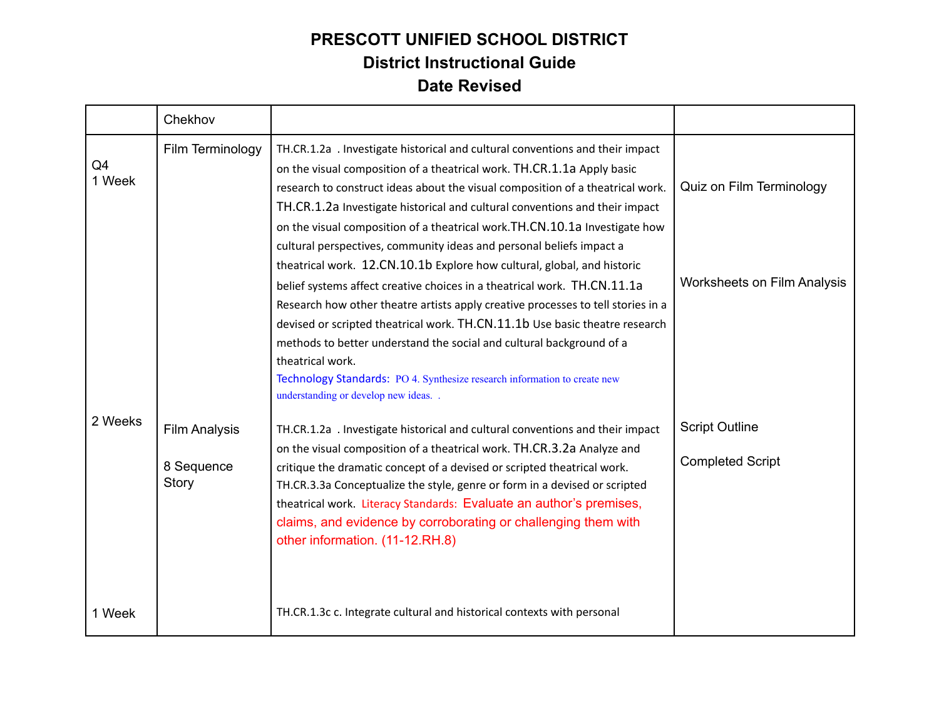|              | Chekhov              |                                                                                                                                                                                                                                                                                                                                                                                                                                                                                                                                                            |                                    |
|--------------|----------------------|------------------------------------------------------------------------------------------------------------------------------------------------------------------------------------------------------------------------------------------------------------------------------------------------------------------------------------------------------------------------------------------------------------------------------------------------------------------------------------------------------------------------------------------------------------|------------------------------------|
| Q4<br>1 Week | Film Terminology     | TH.CR.1.2a. Investigate historical and cultural conventions and their impact<br>on the visual composition of a theatrical work. TH.CR.1.1a Apply basic<br>research to construct ideas about the visual composition of a theatrical work.<br>TH.CR.1.2a Investigate historical and cultural conventions and their impact<br>on the visual composition of a theatrical work. TH.CN. 10.1a Investigate how<br>cultural perspectives, community ideas and personal beliefs impact a<br>theatrical work. 12.CN.10.1b Explore how cultural, global, and historic | Quiz on Film Terminology           |
|              |                      | belief systems affect creative choices in a theatrical work. TH.CN.11.1a<br>Research how other theatre artists apply creative processes to tell stories in a<br>devised or scripted theatrical work. TH.CN.11.1b Use basic theatre research<br>methods to better understand the social and cultural background of a<br>theatrical work.<br>Technology Standards: PO 4. Synthesize research information to create new<br>understanding or develop new ideas                                                                                                 | <b>Worksheets on Film Analysis</b> |
| 2 Weeks      | <b>Film Analysis</b> | TH.CR.1.2a . Investigate historical and cultural conventions and their impact                                                                                                                                                                                                                                                                                                                                                                                                                                                                              | <b>Script Outline</b>              |
|              | 8 Sequence<br>Story  | on the visual composition of a theatrical work. TH.CR.3.2a Analyze and<br>critique the dramatic concept of a devised or scripted theatrical work.<br>TH.CR.3.3a Conceptualize the style, genre or form in a devised or scripted<br>theatrical work. Literacy Standards: Evaluate an author's premises,<br>claims, and evidence by corroborating or challenging them with<br>other information. (11-12.RH.8)                                                                                                                                                | <b>Completed Script</b>            |
| 1 Week       |                      | TH.CR.1.3c c. Integrate cultural and historical contexts with personal                                                                                                                                                                                                                                                                                                                                                                                                                                                                                     |                                    |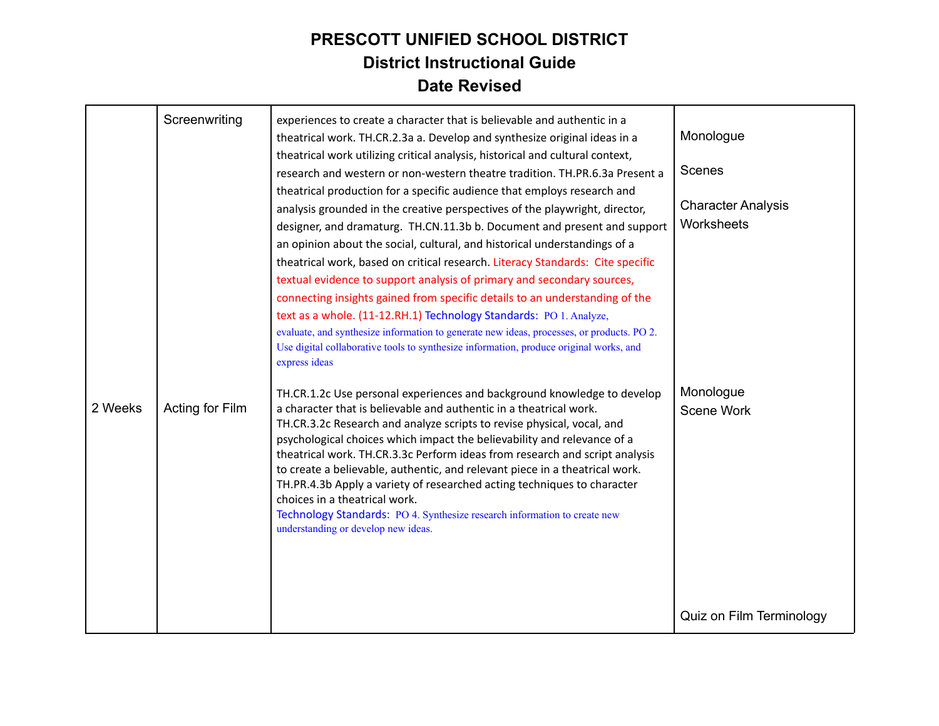|         | Screenwriting   | experiences to create a character that is believable and authentic in a<br>theatrical work. TH.CR.2.3a a. Develop and synthesize original ideas in a<br>theatrical work utilizing critical analysis, historical and cultural context,<br>research and western or non-western theatre tradition. TH.PR.6.3a Present a<br>theatrical production for a specific audience that employs research and<br>analysis grounded in the creative perspectives of the playwright, director,<br>designer, and dramaturg. TH.CN.11.3b b. Document and present and support<br>an opinion about the social, cultural, and historical understandings of a<br>theatrical work, based on critical research. Literacy Standards: Cite specific<br>textual evidence to support analysis of primary and secondary sources,<br>connecting insights gained from specific details to an understanding of the<br>text as a whole. (11-12.RH.1) Technology Standards: PO 1. Analyze, | Monologue<br><b>Scenes</b><br><b>Character Analysis</b><br>Worksheets |
|---------|-----------------|----------------------------------------------------------------------------------------------------------------------------------------------------------------------------------------------------------------------------------------------------------------------------------------------------------------------------------------------------------------------------------------------------------------------------------------------------------------------------------------------------------------------------------------------------------------------------------------------------------------------------------------------------------------------------------------------------------------------------------------------------------------------------------------------------------------------------------------------------------------------------------------------------------------------------------------------------------|-----------------------------------------------------------------------|
| 2 Weeks | Acting for Film | evaluate, and synthesize information to generate new ideas, processes, or products. PO 2.<br>Use digital collaborative tools to synthesize information, produce original works, and<br>express ideas<br>TH.CR.1.2c Use personal experiences and background knowledge to develop<br>a character that is believable and authentic in a theatrical work.<br>TH.CR.3.2c Research and analyze scripts to revise physical, vocal, and<br>psychological choices which impact the believability and relevance of a<br>theatrical work. TH.CR.3.3c Perform ideas from research and script analysis<br>to create a believable, authentic, and relevant piece in a theatrical work.<br>TH.PR.4.3b Apply a variety of researched acting techniques to character<br>choices in a theatrical work.<br>Technology Standards: PO 4. Synthesize research information to create new<br>understanding or develop new ideas.                                                 | Monologue<br>Scene Work                                               |
|         |                 |                                                                                                                                                                                                                                                                                                                                                                                                                                                                                                                                                                                                                                                                                                                                                                                                                                                                                                                                                          | Quiz on Film Terminology                                              |